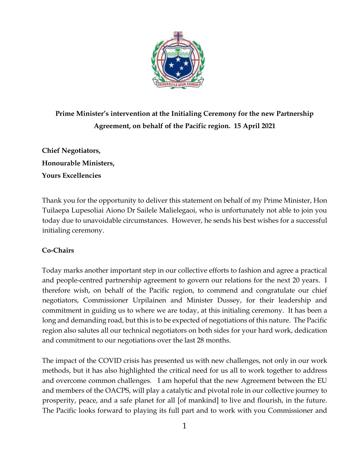

**Prime Minister's intervention at the Initialing Ceremony for the new Partnership Agreement, on behalf of the Pacific region. 15 April 2021**

**Chief Negotiators, Honourable Ministers, Yours Excellencies**

Thank you for the opportunity to deliver this statement on behalf of my Prime Minister, Hon Tuilaepa Lupesoliai Aiono Dr Sailele Malielegaoi, who is unfortunately not able to join you today due to unavoidable circumstances. However, he sends his best wishes for a successful initialing ceremony.

## **Co-Chairs**

Today marks another important step in our collective efforts to fashion and agree a practical and people-centred partnership agreement to govern our relations for the next 20 years. I therefore wish, on behalf of the Pacific region, to commend and congratulate our chief negotiators, Commissioner Urpilainen and Minister Dussey, for their leadership and commitment in guiding us to where we are today, at this initialing ceremony. It has been a long and demanding road, but this is to be expected of negotiations of this nature. The Pacific region also salutes all our technical negotiators on both sides for your hard work, dedication and commitment to our negotiations over the last 28 months.

The impact of the COVID crisis has presented us with new challenges, not only in our work methods, but it has also highlighted the critical need for us all to work together to address and overcome common challenges. I am hopeful that the new Agreement between the EU and members of the OACPS, will play a catalytic and pivotal role in our collective journey to prosperity, peace, and a safe planet for all [of mankind] to live and flourish, in the future. The Pacific looks forward to playing its full part and to work with you Commissioner and